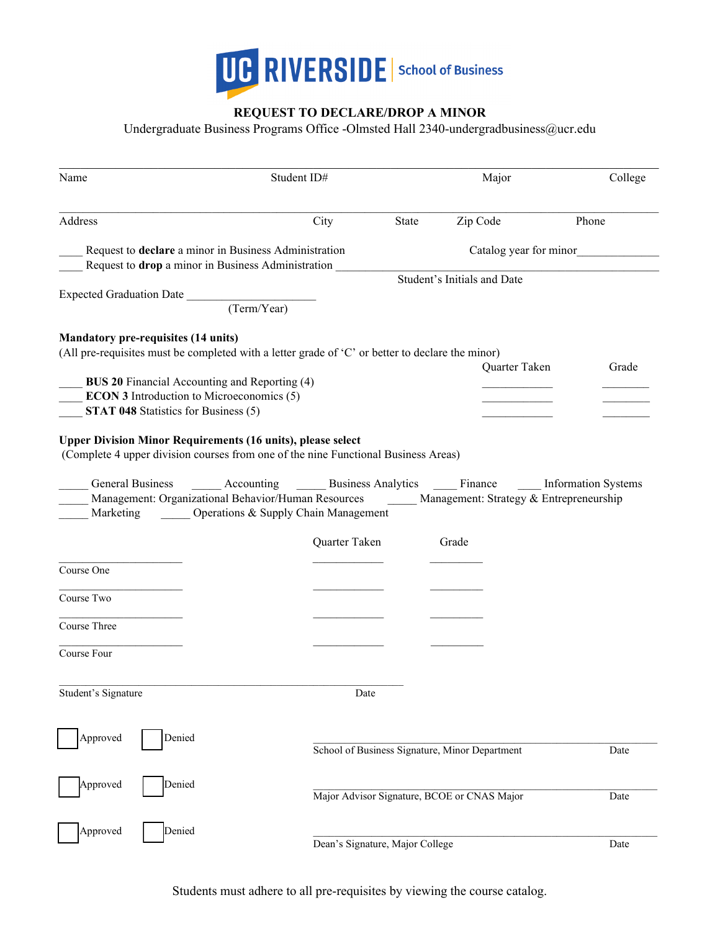

# **REQUEST TO DECLARE/DROP A MINOR**

Undergraduate Business Programs Office -Olmsted Hall 2340-undergradbusiness@ucr.edu

| Name                                                                                                        | Student ID#                                               |                                 | Major                                          | College |
|-------------------------------------------------------------------------------------------------------------|-----------------------------------------------------------|---------------------------------|------------------------------------------------|---------|
| Address                                                                                                     | City                                                      | State                           | Zip Code                                       | Phone   |
| Request to declare a minor in Business Administration<br>Request to drop a minor in Business Administration |                                                           |                                 | Catalog year for minor                         |         |
|                                                                                                             |                                                           |                                 | Student's Initials and Date                    |         |
| <b>Expected Graduation Date</b>                                                                             |                                                           |                                 |                                                |         |
|                                                                                                             | $\frac{1}{(Term/Year)}$                                   |                                 |                                                |         |
| <b>Mandatory pre-requisites (14 units)</b>                                                                  |                                                           |                                 |                                                |         |
| (All pre-requisites must be completed with a letter grade of 'C' or better to declare the minor)            |                                                           |                                 |                                                |         |
|                                                                                                             |                                                           |                                 | Quarter Taken                                  | Grade   |
| <b>BUS 20 Financial Accounting and Reporting (4)</b>                                                        |                                                           |                                 |                                                |         |
| <b>ECON 3</b> Introduction to Microeconomics (5)                                                            |                                                           |                                 |                                                |         |
| <b>STAT 048 Statistics for Business (5)</b>                                                                 |                                                           |                                 |                                                |         |
|                                                                                                             |                                                           |                                 |                                                |         |
| <b>Upper Division Minor Requirements (16 units), please select</b>                                          |                                                           |                                 |                                                |         |
| (Complete 4 upper division courses from one of the nine Functional Business Areas)                          |                                                           |                                 |                                                |         |
|                                                                                                             |                                                           |                                 |                                                |         |
| General Business                                                                                            | Accounting Business Analytics Finance Information Systems |                                 |                                                |         |
| Management: Organizational Behavior/Human Resources Management: Strategy & Entrepreneurship                 |                                                           |                                 |                                                |         |
| Marketing                                                                                                   | <b>Confidence</b> Operations & Supply Chain Management    |                                 |                                                |         |
|                                                                                                             | Quarter Taken                                             |                                 | Grade                                          |         |
|                                                                                                             |                                                           |                                 |                                                |         |
| Course One                                                                                                  |                                                           |                                 |                                                |         |
|                                                                                                             |                                                           |                                 |                                                |         |
| Course Two                                                                                                  |                                                           |                                 |                                                |         |
|                                                                                                             |                                                           |                                 |                                                |         |
| Course Three                                                                                                |                                                           |                                 |                                                |         |
|                                                                                                             |                                                           |                                 |                                                |         |
| Course Four                                                                                                 |                                                           |                                 |                                                |         |
|                                                                                                             |                                                           |                                 |                                                |         |
| Student's Signature                                                                                         | Date                                                      |                                 |                                                |         |
|                                                                                                             |                                                           |                                 |                                                |         |
|                                                                                                             |                                                           |                                 |                                                |         |
| Approved<br>Denied                                                                                          |                                                           |                                 |                                                |         |
|                                                                                                             |                                                           |                                 | School of Business Signature, Minor Department | Date    |
|                                                                                                             |                                                           |                                 |                                                |         |
|                                                                                                             |                                                           |                                 |                                                |         |
| Approved<br>Denied                                                                                          |                                                           |                                 | Major Advisor Signature, BCOE or CNAS Major    | Date    |
|                                                                                                             |                                                           |                                 |                                                |         |
|                                                                                                             |                                                           |                                 |                                                |         |
| Approved<br>Denied                                                                                          |                                                           |                                 |                                                |         |
|                                                                                                             |                                                           | Dean's Signature, Major College |                                                | Date    |

Students must adhere to all pre-requisites by viewing the course catalog.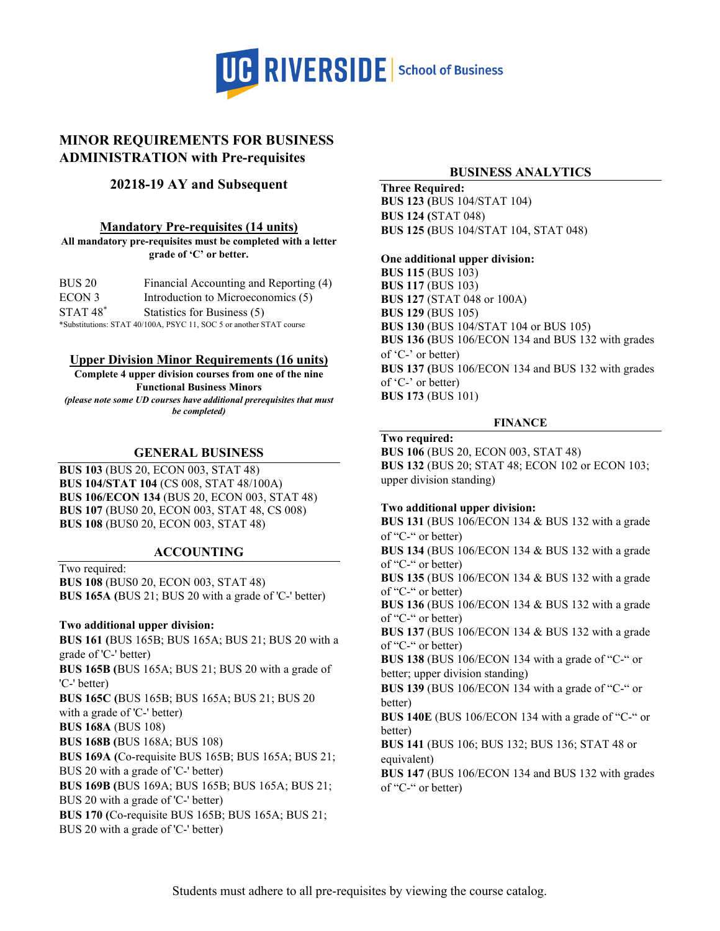

# **MINOR REQUIREMENTS FOR BUSINESS ADMINISTRATION with Pre-requisites**

# **20218-19 AY and Subsequent**

### **Mandatory Pre-requisites (14 units)**

**All mandatory pre-requisites must be completed with a letter grade of 'C' or better.**

| <b>BUS 20</b> | Financial Accounting and Reporting (4)                              |
|---------------|---------------------------------------------------------------------|
| ECON 3        | Introduction to Microeconomics (5)                                  |
| $STAT 48*$    | Statistics for Business (5)                                         |
|               | *Substitutions: STAT 40/100A, PSYC 11, SOC 5 or another STAT course |

### **Upper Division Minor Requirements (16 units)**

**Complete 4 upper division courses from one of the nine Functional Business Minors**

*(please note some UD courses have additional prerequisites that must be completed)* 

## **GENERAL BUSINESS**

**BUS 103** (BUS 20, ECON 003, STAT 48) **BUS 104/STAT 104** (CS 008, STAT 48/100A) **BUS 106/ECON 134** (BUS 20, ECON 003, STAT 48) **BUS 107** (BUS0 20, ECON 003, STAT 48, CS 008) **BUS 108** (BUS0 20, ECON 003, STAT 48)

## **ACCOUNTING**

Two required: **BUS 108** (BUS0 20, ECON 003, STAT 48) **BUS 165A (**BUS 21; BUS 20 with a grade of 'C-' better)

## **Two additional upper division:**

**BUS 161 (**BUS 165B; BUS 165A; BUS 21; BUS 20 with a grade of 'C-' better) **BUS 165B (**BUS 165A; BUS 21; BUS 20 with a grade of 'C-' better) **BUS 165C (**BUS 165B; BUS 165A; BUS 21; BUS 20 with a grade of 'C-' better) **BUS 168A** (BUS 108) **BUS 168B (**BUS 168A; BUS 108) **BUS 169A (**Co-requisite BUS 165B; BUS 165A; BUS 21; BUS 20 with a grade of 'C-' better) **BUS 169B (**BUS 169A; BUS 165B; BUS 165A; BUS 21; BUS 20 with a grade of 'C-' better) **BUS 170 (**Co-requisite BUS 165B; BUS 165A; BUS 21; BUS 20 with a grade of 'C-' better)

# **BUSINESS ANALYTICS**

**Three Required: BUS 123 (**BUS 104/STAT 104) **BUS 124 (**STAT 048) **BUS 125 (**BUS 104/STAT 104, STAT 048)

#### **One additional upper division:**

**BUS 115** (BUS 103) **BUS 117** (BUS 103) **BUS 127** (STAT 048 or 100A) **BUS 129** (BUS 105) **BUS 130** (BUS 104/STAT 104 or BUS 105) **BUS 136 (**BUS 106/ECON 134 and BUS 132 with grades of 'C-' or better) **BUS 137 (**BUS 106/ECON 134 and BUS 132 with grades of 'C-' or better) **BUS 173** (BUS 101)

#### **FINANCE**

#### **Two required:**

**BUS 106** (BUS 20, ECON 003, STAT 48) **BUS 132** (BUS 20; STAT 48; ECON 102 or ECON 103; upper division standing)

## **Two additional upper division:**

**BUS 131** (BUS 106/ECON 134 & BUS 132 with a grade of "C-" or better)

**BUS 134** (BUS 106/ECON 134 & BUS 132 with a grade of "C-" or better)

**BUS 135** (BUS 106/ECON 134 & BUS 132 with a grade of "C-" or better)

**BUS 136** (BUS 106/ECON 134 & BUS 132 with a grade of "C-" or better)

**BUS 137** (BUS 106/ECON 134 & BUS 132 with a grade of "C-" or better)

**BUS 138** (BUS 106/ECON 134 with a grade of "C-" or better; upper division standing)

**BUS 139** (BUS 106/ECON 134 with a grade of "C-" or better)

**BUS 140E** (BUS 106/ECON 134 with a grade of "C-" or better)

**BUS 141** (BUS 106; BUS 132; BUS 136; STAT 48 or equivalent)

**BUS 147** (BUS 106/ECON 134 and BUS 132 with grades of "C-" or better)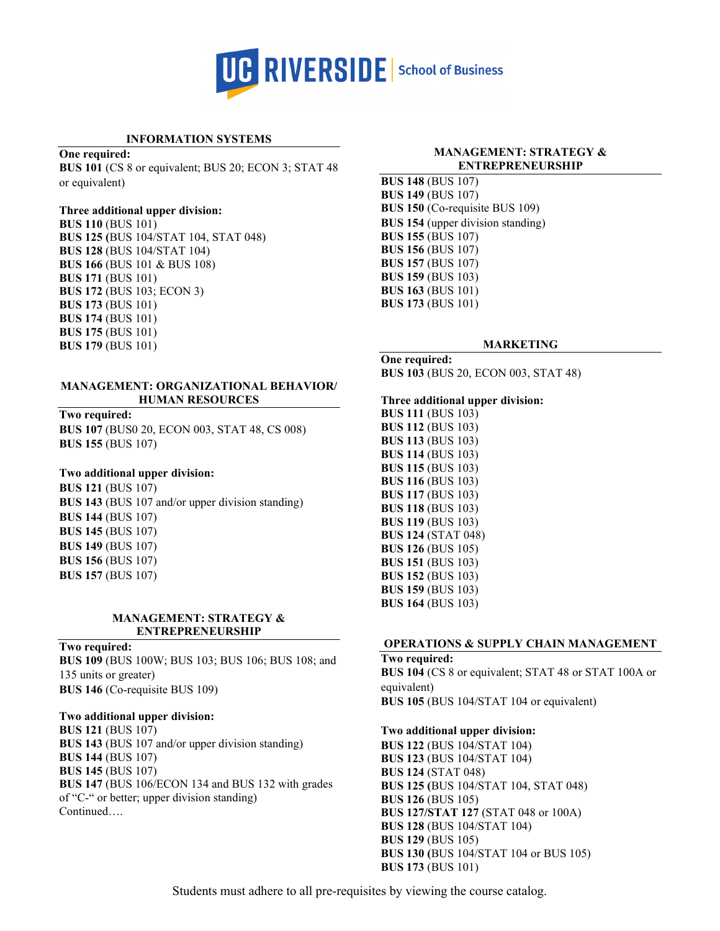

# **INFORMATION SYSTEMS**

**One required:**

**BUS 101** (CS 8 or equivalent; BUS 20; ECON 3; STAT 48 or equivalent)

### **Three additional upper division:**

**BUS 110** (BUS 101) **BUS 125 (**BUS 104/STAT 104, STAT 048) **BUS 128** (BUS 104/STAT 104) **BUS 166** (BUS 101 & BUS 108) **BUS 171** (BUS 101) **BUS 172** (BUS 103; ECON 3) **BUS 173** (BUS 101) **BUS 174** (BUS 101) **BUS 175** (BUS 101) **BUS 179** (BUS 101)

### **MANAGEMENT: ORGANIZATIONAL BEHAVIOR/ HUMAN RESOURCES**

**Two required: BUS 107** (BUS0 20, ECON 003, STAT 48, CS 008)

# **Two additional upper division:**

**BUS 155** (BUS 107)

**BUS 121** (BUS 107) **BUS 143** (BUS 107 and/or upper division standing) **BUS 144** (BUS 107) **BUS 145** (BUS 107) **BUS 149** (BUS 107) **BUS 156** (BUS 107) **BUS 157** (BUS 107)

#### **MANAGEMENT: STRATEGY & ENTREPRENEURSHIP**

**Two required:**

**BUS 109** (BUS 100W; BUS 103; BUS 106; BUS 108; and 135 units or greater) **BUS 146** (Co-requisite BUS 109)

## **Two additional upper division:**

**BUS 121** (BUS 107) **BUS 143** (BUS 107 and/or upper division standing) **BUS 144** (BUS 107) **BUS 145** (BUS 107) **BUS 147** (BUS 106/ECON 134 and BUS 132 with grades of "C-" or better; upper division standing) Continued….

### **MANAGEMENT: STRATEGY & ENTREPRENEURSHIP**

**BUS 148** (BUS 107) **BUS 149** (BUS 107) **BUS 150** (Co-requisite BUS 109) **BUS 154** (upper division standing) **BUS 155** (BUS 107) **BUS 156** (BUS 107) **BUS 157** (BUS 107) **BUS 159** (BUS 103) **BUS 163** (BUS 101) **BUS 173** (BUS 101)

## **MARKETING**

**One required: BUS 103** (BUS 20, ECON 003, STAT 48)

#### **Three additional upper division:**

**BUS 111** (BUS 103) **BUS 112** (BUS 103) **BUS 113** (BUS 103) **BUS 114** (BUS 103) **BUS 115** (BUS 103) **BUS 116** (BUS 103) **BUS 117** (BUS 103) **BUS 118** (BUS 103) **BUS 119** (BUS 103) **BUS 124** (STAT 048) **BUS 126** (BUS 105) **BUS 151** (BUS 103) **BUS 152** (BUS 103) **BUS 159** (BUS 103) **BUS 164** (BUS 103)

## **OPERATIONS & SUPPLY CHAIN MANAGEMENT**

**Two required: BUS 104** (CS 8 or equivalent; STAT 48 or STAT 100A or equivalent) **BUS 105** (BUS 104/STAT 104 or equivalent)

#### **Two additional upper division:**

**BUS 122** (BUS 104/STAT 104) **BUS 123** (BUS 104/STAT 104) **BUS 124** (STAT 048) **BUS 125 (**BUS 104/STAT 104, STAT 048) **BUS 126** (BUS 105) **BUS 127/STAT 127** (STAT 048 or 100A) **BUS 128** (BUS 104/STAT 104) **BUS 129** (BUS 105) **BUS 130 (**BUS 104/STAT 104 or BUS 105) **BUS 173** (BUS 101)

Students must adhere to all pre-requisites by viewing the course catalog.